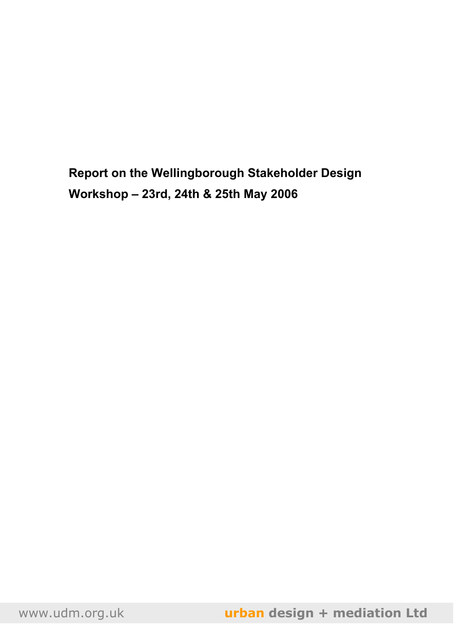**Report on the Wellingborough Stakeholder Design Workshop – 23rd, 24th & 25th May 2006**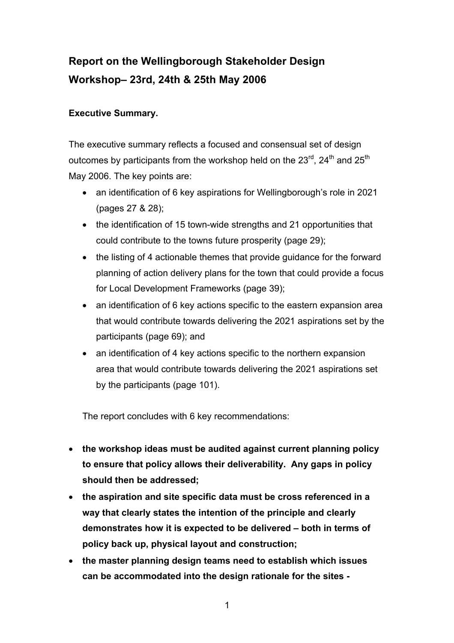# **Report on the Wellingborough Stakeholder Design Workshop– 23rd, 24th & 25th May 2006**

#### **Executive Summary.**

The executive summary reflects a focused and consensual set of design outcomes by participants from the workshop held on the  $23^{\text{rd}}$ ,  $24^{\text{th}}$  and  $25^{\text{th}}$ May 2006. The key points are:

- an identification of 6 key aspirations for Wellingborough's role in 2021 (pages 27 & 28);
- the identification of 15 town-wide strengths and 21 opportunities that could contribute to the towns future prosperity (page 29);
- the listing of 4 actionable themes that provide guidance for the forward planning of action delivery plans for the town that could provide a focus for Local Development Frameworks (page 39);
- an identification of 6 key actions specific to the eastern expansion area that would contribute towards delivering the 2021 aspirations set by the participants (page 69); and
- an identification of 4 key actions specific to the northern expansion area that would contribute towards delivering the 2021 aspirations set by the participants (page 101).

The report concludes with 6 key recommendations:

- **the workshop ideas must be audited against current planning policy to ensure that policy allows their deliverability. Any gaps in policy should then be addressed;**
- **the aspiration and site specific data must be cross referenced in a way that clearly states the intention of the principle and clearly demonstrates how it is expected to be delivered – both in terms of policy back up, physical layout and construction;**
- **the master planning design teams need to establish which issues can be accommodated into the design rationale for the sites -**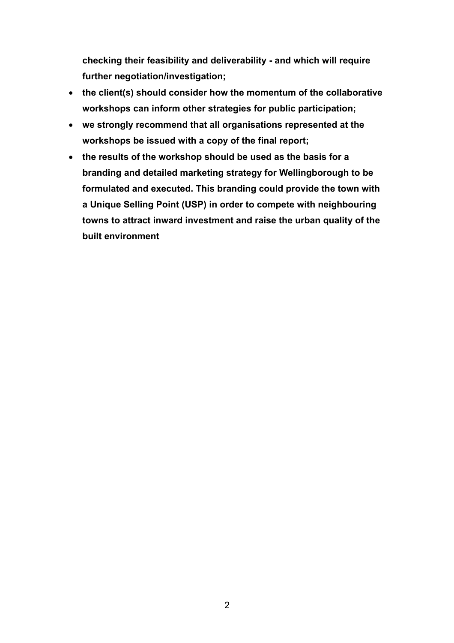**checking their feasibility and deliverability - and which will require further negotiation/investigation;** 

- **the client(s) should consider how the momentum of the collaborative workshops can inform other strategies for public participation;**
- **we strongly recommend that all organisations represented at the workshops be issued with a copy of the final report;**
- **the results of the workshop should be used as the basis for a branding and detailed marketing strategy for Wellingborough to be formulated and executed. This branding could provide the town with a Unique Selling Point (USP) in order to compete with neighbouring towns to attract inward investment and raise the urban quality of the built environment**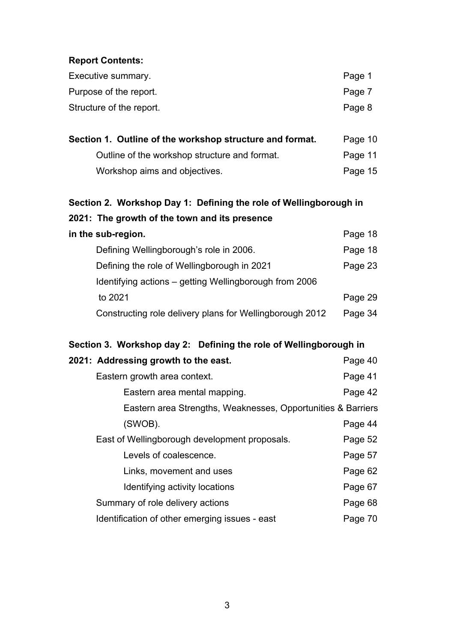#### **Report Contents:**

| Executive summary.       | Page 1 |
|--------------------------|--------|
| Purpose of the report.   | Page 7 |
| Structure of the report. | Page 8 |

| Section 1. Outline of the workshop structure and format. | Page 10 |
|----------------------------------------------------------|---------|
| Outline of the workshop structure and format.            | Page 11 |
| Workshop aims and objectives.                            | Page 15 |

## **Section 2. Workshop Day 1: Defining the role of Wellingborough in 2021: The growth of the town and its presence in the sub-region. Page 18**

| Defining Wellingborough's role in 2006.                  | Page 18 |
|----------------------------------------------------------|---------|
| Defining the role of Wellingborough in 2021              | Page 23 |
| Identifying actions – getting Wellingborough from 2006   |         |
| to 2021                                                  | Page 29 |
| Constructing role delivery plans for Wellingborough 2012 | Page 34 |

#### **Section 3. Workshop day 2: Defining the role of Wellingborough in**

| 2021: Addressing growth to the east.                         | Page 40 |
|--------------------------------------------------------------|---------|
| Eastern growth area context.                                 | Page 41 |
| Eastern area mental mapping.                                 | Page 42 |
| Eastern area Strengths, Weaknesses, Opportunities & Barriers |         |
| (SWOB).                                                      | Page 44 |
| East of Wellingborough development proposals.                | Page 52 |
| Levels of coalescence.                                       | Page 57 |
| Links, movement and uses                                     | Page 62 |
| Identifying activity locations                               | Page 67 |
| Summary of role delivery actions                             | Page 68 |
| Identification of other emerging issues - east               | Page 70 |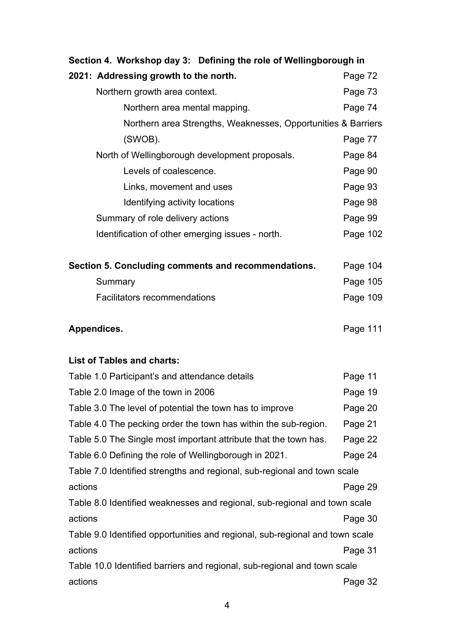| Section 4. Workshop day 3: Defining the role of Wellingborough in            |          |
|------------------------------------------------------------------------------|----------|
| 2021: Addressing growth to the north.                                        | Page 72  |
| Northern growth area context.                                                | Page 73  |
| Northern area mental mapping.                                                | Page 74  |
| Northern area Strengths, Weaknesses, Opportunities & Barriers                |          |
| (SWOB).                                                                      | Page 77  |
| North of Wellingborough development proposals.                               | Page 84  |
| Levels of coalescence.                                                       | Page 90  |
| Links, movement and uses                                                     | Page 93  |
| Identifying activity locations                                               | Page 98  |
| Summary of role delivery actions                                             | Page 99  |
| Identification of other emerging issues - north.                             | Page 102 |
|                                                                              |          |
| Section 5. Concluding comments and recommendations.                          | Page 104 |
| Summary                                                                      | Page 105 |
| <b>Facilitators recommendations</b>                                          | Page 109 |
|                                                                              |          |
| Appendices.                                                                  | Page 111 |
|                                                                              |          |
| <b>List of Tables and charts:</b>                                            |          |
| Table 1.0 Participant's and attendance details                               | Page 11  |
| Table 2.0 Image of the town in 2006                                          | Page 19  |
| Table 3.0 The level of potential the town has to improve                     | Page 20  |
| Table 4.0 The pecking order the town has within the sub-region.              | Page 21  |
| Table 5.0 The Single most important attribute that the town has.             | Page 22  |
| Table 6.0 Defining the role of Wellingborough in 2021.                       | Page 24  |
| Table 7.0 Identified strengths and regional, sub-regional and town scale     |          |
| actions                                                                      | Page 29  |
| Table 8.0 Identified weaknesses and regional, sub-regional and town scale    |          |
| actions                                                                      | Page 30  |
| Table 9.0 Identified opportunities and regional, sub-regional and town scale |          |
| actions                                                                      | Page 31  |
| Table 10.0 Identified barriers and regional, sub-regional and town scale     |          |
| actions                                                                      | Page 32  |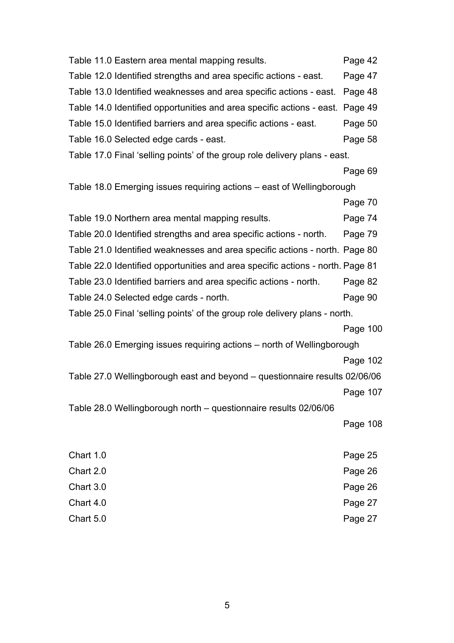| Table 11.0 Eastern area mental mapping results.                                | Page 42  |
|--------------------------------------------------------------------------------|----------|
| Table 12.0 Identified strengths and area specific actions - east.              | Page 47  |
| Table 13.0 Identified weaknesses and area specific actions - east. Page 48     |          |
| Table 14.0 Identified opportunities and area specific actions - east. Page 49  |          |
| Table 15.0 Identified barriers and area specific actions - east.               | Page 50  |
| Table 16.0 Selected edge cards - east.                                         | Page 58  |
| Table 17.0 Final 'selling points' of the group role delivery plans - east.     |          |
|                                                                                | Page 69  |
| Table 18.0 Emerging issues requiring actions – east of Wellingborough          |          |
|                                                                                | Page 70  |
| Table 19.0 Northern area mental mapping results.                               | Page 74  |
| Table 20.0 Identified strengths and area specific actions - north.             | Page 79  |
| Table 21.0 Identified weaknesses and area specific actions - north. Page 80    |          |
| Table 22.0 Identified opportunities and area specific actions - north. Page 81 |          |
| Table 23.0 Identified barriers and area specific actions - north.              | Page 82  |
| Table 24.0 Selected edge cards - north.                                        | Page 90  |
| Table 25.0 Final 'selling points' of the group role delivery plans - north.    |          |
|                                                                                | Page 100 |
| Table 26.0 Emerging issues requiring actions – north of Wellingborough         |          |
|                                                                                | Page 102 |
| Table 27.0 Wellingborough east and beyond - questionnaire results 02/06/06     |          |
|                                                                                | Page 107 |
| Table 28.0 Wellingborough north – questionnaire results 02/06/06               |          |
|                                                                                | Page 108 |
|                                                                                |          |
| Chart 1.0                                                                      | Page 25  |
| Chart 2.0                                                                      | Page 26  |
| Chart 3.0                                                                      | Page 26  |
| Chart 4.0                                                                      | Page 27  |
| Chart 5.0                                                                      | Page 27  |

5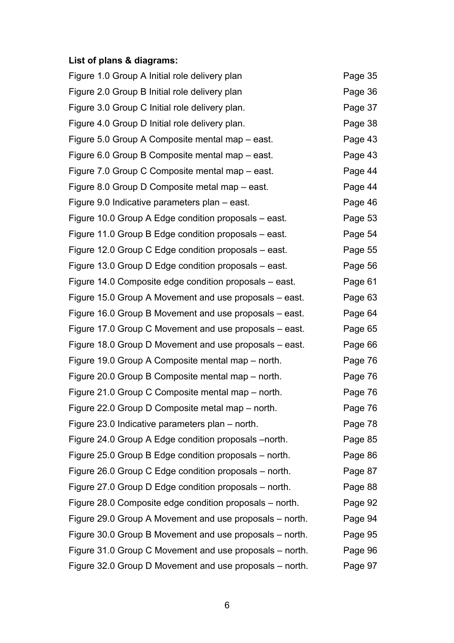### **List of plans & diagrams:**

| Figure 1.0 Group A Initial role delivery plan           | Page 35 |
|---------------------------------------------------------|---------|
| Figure 2.0 Group B Initial role delivery plan           | Page 36 |
| Figure 3.0 Group C Initial role delivery plan.          | Page 37 |
| Figure 4.0 Group D Initial role delivery plan.          | Page 38 |
| Figure 5.0 Group A Composite mental map – east.         | Page 43 |
| Figure 6.0 Group B Composite mental map – east.         | Page 43 |
| Figure 7.0 Group C Composite mental map – east.         | Page 44 |
| Figure 8.0 Group D Composite metal map – east.          | Page 44 |
| Figure 9.0 Indicative parameters plan – east.           | Page 46 |
| Figure 10.0 Group A Edge condition proposals – east.    | Page 53 |
| Figure 11.0 Group B Edge condition proposals – east.    | Page 54 |
| Figure 12.0 Group C Edge condition proposals – east.    | Page 55 |
| Figure 13.0 Group D Edge condition proposals – east.    | Page 56 |
| Figure 14.0 Composite edge condition proposals – east.  | Page 61 |
| Figure 15.0 Group A Movement and use proposals – east.  | Page 63 |
| Figure 16.0 Group B Movement and use proposals – east.  | Page 64 |
| Figure 17.0 Group C Movement and use proposals - east.  | Page 65 |
| Figure 18.0 Group D Movement and use proposals – east.  | Page 66 |
| Figure 19.0 Group A Composite mental map – north.       | Page 76 |
| Figure 20.0 Group B Composite mental map – north.       | Page 76 |
| Figure 21.0 Group C Composite mental map – north.       | Page 76 |
| Figure 22.0 Group D Composite metal map – north.        | Page 76 |
| Figure 23.0 Indicative parameters plan – north.         | Page 78 |
| Figure 24.0 Group A Edge condition proposals –north.    | Page 85 |
| Figure 25.0 Group B Edge condition proposals – north.   | Page 86 |
| Figure 26.0 Group C Edge condition proposals – north.   | Page 87 |
| Figure 27.0 Group D Edge condition proposals – north.   | Page 88 |
| Figure 28.0 Composite edge condition proposals – north. | Page 92 |
| Figure 29.0 Group A Movement and use proposals - north. | Page 94 |
| Figure 30.0 Group B Movement and use proposals – north. | Page 95 |
| Figure 31.0 Group C Movement and use proposals – north. | Page 96 |
| Figure 32.0 Group D Movement and use proposals - north. | Page 97 |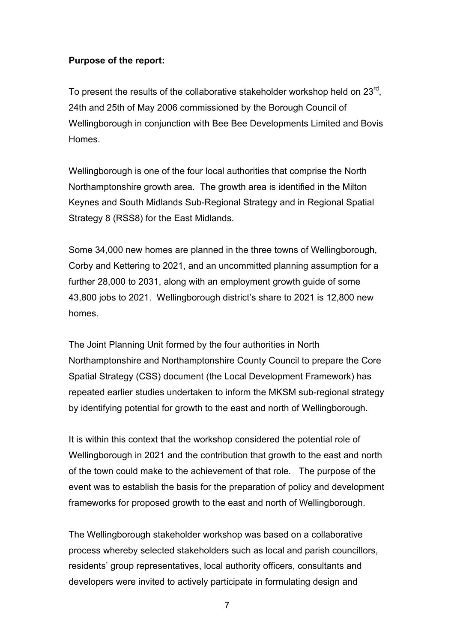#### **Purpose of the report:**

To present the results of the collaborative stakeholder workshop held on 23<sup>rd</sup>, 24th and 25th of May 2006 commissioned by the Borough Council of Wellingborough in conjunction with Bee Bee Developments Limited and Bovis **Homes** 

Wellingborough is one of the four local authorities that comprise the North Northamptonshire growth area. The growth area is identified in the Milton Keynes and South Midlands Sub-Regional Strategy and in Regional Spatial Strategy 8 (RSS8) for the East Midlands.

Some 34,000 new homes are planned in the three towns of Wellingborough, Corby and Kettering to 2021, and an uncommitted planning assumption for a further 28,000 to 2031, along with an employment growth guide of some 43,800 jobs to 2021. Wellingborough district's share to 2021 is 12,800 new homes.

The Joint Planning Unit formed by the four authorities in North Northamptonshire and Northamptonshire County Council to prepare the Core Spatial Strategy (CSS) document (the Local Development Framework) has repeated earlier studies undertaken to inform the MKSM sub-regional strategy by identifying potential for growth to the east and north of Wellingborough.

It is within this context that the workshop considered the potential role of Wellingborough in 2021 and the contribution that growth to the east and north of the town could make to the achievement of that role. The purpose of the event was to establish the basis for the preparation of policy and development frameworks for proposed growth to the east and north of Wellingborough.

The Wellingborough stakeholder workshop was based on a collaborative process whereby selected stakeholders such as local and parish councillors, residents' group representatives, local authority officers, consultants and developers were invited to actively participate in formulating design and

7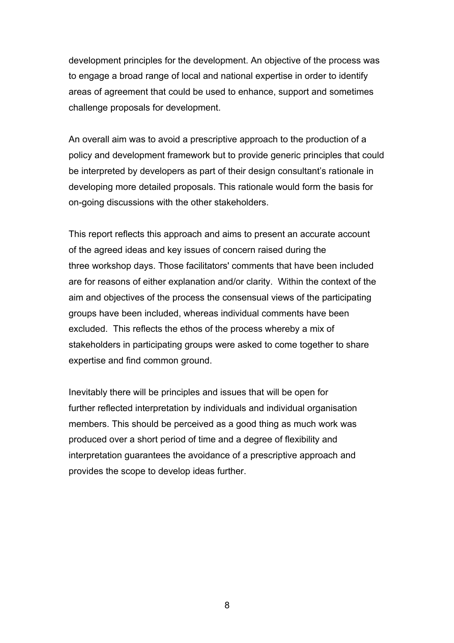development principles for the development. An objective of the process was to engage a broad range of local and national expertise in order to identify areas of agreement that could be used to enhance, support and sometimes challenge proposals for development.

An overall aim was to avoid a prescriptive approach to the production of a policy and development framework but to provide generic principles that could be interpreted by developers as part of their design consultant's rationale in developing more detailed proposals. This rationale would form the basis for on-going discussions with the other stakeholders.

This report reflects this approach and aims to present an accurate account of the agreed ideas and key issues of concern raised during the three workshop days. Those facilitators' comments that have been included are for reasons of either explanation and/or clarity. Within the context of the aim and objectives of the process the consensual views of the participating groups have been included, whereas individual comments have been excluded. This reflects the ethos of the process whereby a mix of stakeholders in participating groups were asked to come together to share expertise and find common ground.

Inevitably there will be principles and issues that will be open for further reflected interpretation by individuals and individual organisation members. This should be perceived as a good thing as much work was produced over a short period of time and a degree of flexibility and interpretation guarantees the avoidance of a prescriptive approach and provides the scope to develop ideas further.